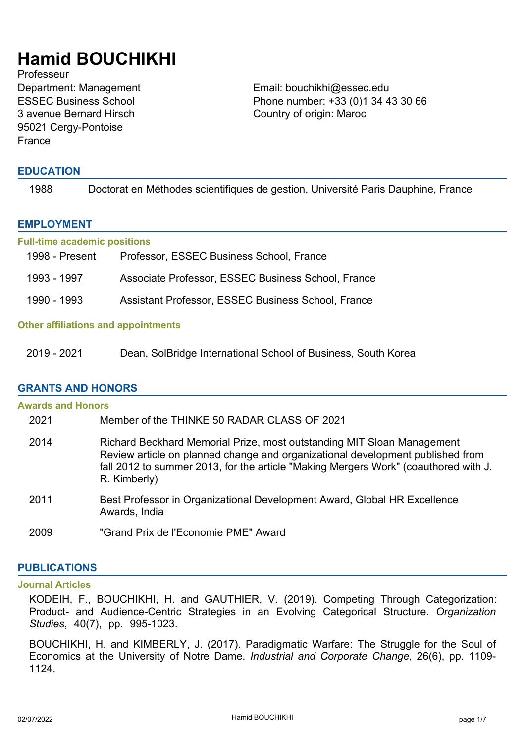# **Hamid BOUCHIKHI**

Professeur ESSEC Business School 3 avenue Bernard Hirsch 95021 Cergy-Pontoise France

Department: Management Email: bouchikhi@essec.edu Phone number: +33 (0)1 34 43 30 66 Country of origin: Maroc

# **EDUCATION**

| 1988 | Doctorat en Méthodes scientifiques de gestion, Université Paris Dauphine, France |
|------|----------------------------------------------------------------------------------|
|------|----------------------------------------------------------------------------------|

# **EMPLOYMENT**

#### **Full-time academic positions**

| 1998 - Present | Professor, ESSEC Business School, France           |
|----------------|----------------------------------------------------|
| 1993 - 1997    | Associate Professor, ESSEC Business School, France |
| 1990 - 1993    | Assistant Professor, ESSEC Business School, France |

## **Other affiliations and appointments**

2019 - 2021 Dean, SolBridge International School of Business, South Korea

# **GRANTS AND HONORS**

| <b>Awards and Honors</b> |                                                                                                                                                                                                                                                                 |
|--------------------------|-----------------------------------------------------------------------------------------------------------------------------------------------------------------------------------------------------------------------------------------------------------------|
| 2021                     | Member of the THINKE 50 RADAR CLASS OF 2021                                                                                                                                                                                                                     |
| 2014                     | Richard Beckhard Memorial Prize, most outstanding MIT Sloan Management<br>Review article on planned change and organizational development published from<br>fall 2012 to summer 2013, for the article "Making Mergers Work" (coauthored with J.<br>R. Kimberly) |
| 2011                     | Best Professor in Organizational Development Award, Global HR Excellence<br>Awards, India                                                                                                                                                                       |
| 2009                     | "Grand Prix de l'Economie PME" Award                                                                                                                                                                                                                            |

# **PUBLICATIONS**

#### **Journal Articles**

KODEIH, F., BOUCHIKHI, H. and GAUTHIER, V. (2019). Competing Through Categorization: Product- and Audience-Centric Strategies in an Evolving Categorical Structure. *Organization Studies*, 40(7), pp. 995-1023.

BOUCHIKHI, H. and KIMBERLY, J. (2017). Paradigmatic Warfare: The Struggle for the Soul of Economics at the University of Notre Dame. *Industrial and Corporate Change*, 26(6), pp. 1109- 1124.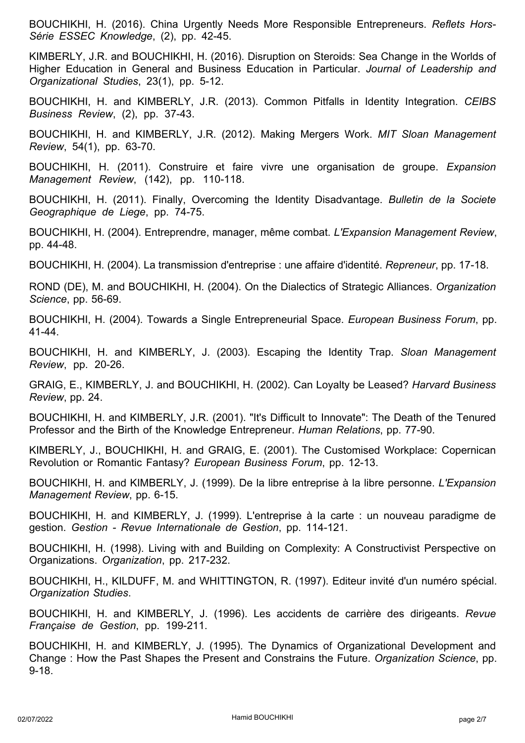BOUCHIKHI, H. (2016). China Urgently Needs More Responsible Entrepreneurs. *Reflets Hors-Série ESSEC Knowledge*, (2), pp. 42-45.

KIMBERLY, J.R. and BOUCHIKHI, H. (2016). Disruption on Steroids: Sea Change in the Worlds of Higher Education in General and Business Education in Particular. *Journal of Leadership and Organizational Studies*, 23(1), pp. 5-12.

BOUCHIKHI, H. and KIMBERLY, J.R. (2013). Common Pitfalls in Identity Integration. *CEIBS Business Review*, (2), pp. 37-43.

BOUCHIKHI, H. and KIMBERLY, J.R. (2012). Making Mergers Work. *MIT Sloan Management Review*, 54(1), pp. 63-70.

BOUCHIKHI, H. (2011). Construire et faire vivre une organisation de groupe. *Expansion Management Review*, (142), pp. 110-118.

BOUCHIKHI, H. (2011). Finally, Overcoming the Identity Disadvantage. *Bulletin de la Societe Geographique de Liege*, pp. 74-75.

BOUCHIKHI, H. (2004). Entreprendre, manager, même combat. *L'Expansion Management Review*, pp. 44-48.

BOUCHIKHI, H. (2004). La transmission d'entreprise : une affaire d'identité. *Repreneur*, pp. 17-18.

ROND (DE), M. and BOUCHIKHI, H. (2004). On the Dialectics of Strategic Alliances. *Organization Science*, pp. 56-69.

BOUCHIKHI, H. (2004). Towards a Single Entrepreneurial Space. *European Business Forum*, pp. 41-44.

BOUCHIKHI, H. and KIMBERLY, J. (2003). Escaping the Identity Trap. *Sloan Management Review*, pp. 20-26.

GRAIG, E., KIMBERLY, J. and BOUCHIKHI, H. (2002). Can Loyalty be Leased? *Harvard Business Review*, pp. 24.

BOUCHIKHI, H. and KIMBERLY, J.R. (2001). "It's Difficult to Innovate": The Death of the Tenured Professor and the Birth of the Knowledge Entrepreneur. *Human Relations*, pp. 77-90.

KIMBERLY, J., BOUCHIKHI, H. and GRAIG, E. (2001). The Customised Workplace: Copernican Revolution or Romantic Fantasy? *European Business Forum*, pp. 12-13.

BOUCHIKHI, H. and KIMBERLY, J. (1999). De la libre entreprise à la libre personne. *L'Expansion Management Review*, pp. 6-15.

BOUCHIKHI, H. and KIMBERLY, J. (1999). L'entreprise à la carte : un nouveau paradigme de gestion. *Gestion - Revue Internationale de Gestion*, pp. 114-121.

BOUCHIKHI, H. (1998). Living with and Building on Complexity: A Constructivist Perspective on Organizations. *Organization*, pp. 217-232.

BOUCHIKHI, H., KILDUFF, M. and WHITTINGTON, R. (1997). Editeur invité d'un numéro spécial. *Organization Studies*.

BOUCHIKHI, H. and KIMBERLY, J. (1996). Les accidents de carrière des dirigeants. *Revue Française de Gestion*, pp. 199-211.

BOUCHIKHI, H. and KIMBERLY, J. (1995). The Dynamics of Organizational Development and Change : How the Past Shapes the Present and Constrains the Future. *Organization Science*, pp. 9-18.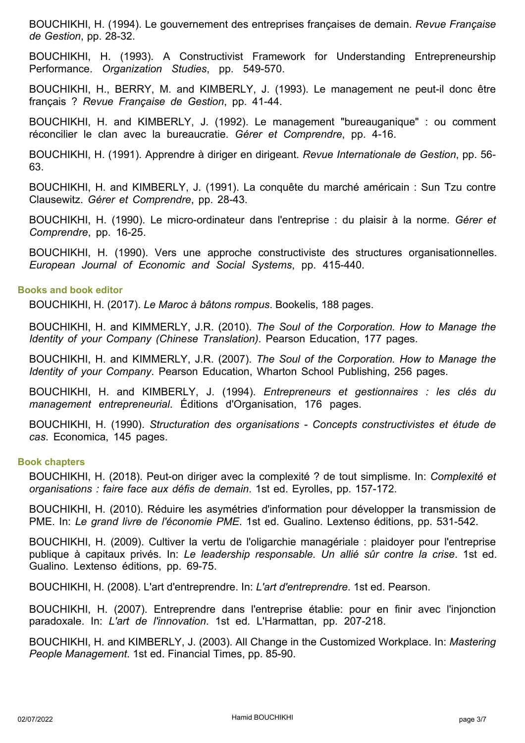BOUCHIKHI, H. (1994). Le gouvernement des entreprises françaises de demain. *Revue Française de Gestion*, pp. 28-32.

BOUCHIKHI, H. (1993). A Constructivist Framework for Understanding Entrepreneurship Performance. *Organization Studies*, pp. 549-570.

BOUCHIKHI, H., BERRY, M. and KIMBERLY, J. (1993). Le management ne peut-il donc être français ? *Revue Française de Gestion*, pp. 41-44.

BOUCHIKHI, H. and KIMBERLY, J. (1992). Le management "bureauganique" : ou comment réconcilier le clan avec la bureaucratie. *Gérer et Comprendre*, pp. 4-16.

BOUCHIKHI, H. (1991). Apprendre à diriger en dirigeant. *Revue Internationale de Gestion*, pp. 56- 63.

BOUCHIKHI, H. and KIMBERLY, J. (1991). La conquête du marché américain : Sun Tzu contre Clausewitz. *Gérer et Comprendre*, pp. 28-43.

BOUCHIKHI, H. (1990). Le micro-ordinateur dans l'entreprise : du plaisir à la norme. *Gérer et Comprendre*, pp. 16-25.

BOUCHIKHI, H. (1990). Vers une approche constructiviste des structures organisationnelles. *European Journal of Economic and Social Systems*, pp. 415-440.

#### **Books and book editor**

BOUCHIKHI, H. (2017). *Le Maroc à bâtons rompus*. Bookelis, 188 pages.

BOUCHIKHI, H. and KIMMERLY, J.R. (2010). *The Soul of the Corporation. How to Manage the Identity of your Company (Chinese Translation)*. Pearson Education, 177 pages.

BOUCHIKHI, H. and KIMMERLY, J.R. (2007). *The Soul of the Corporation. How to Manage the Identity of your Company*. Pearson Education, Wharton School Publishing, 256 pages.

BOUCHIKHI, H. and KIMBERLY, J. (1994). *Entrepreneurs et gestionnaires : les clés du management entrepreneurial*. Éditions d'Organisation, 176 pages.

BOUCHIKHI, H. (1990). *Structuration des organisations - Concepts constructivistes et étude de cas*. Economica, 145 pages.

#### **Book chapters**

BOUCHIKHI, H. (2018). Peut-on diriger avec la complexité ? de tout simplisme. In: *Complexité et organisations : faire face aux défis de demain*. 1st ed. Eyrolles, pp. 157-172.

BOUCHIKHI, H. (2010). Réduire les asymétries d'information pour développer la transmission de PME. In: *Le grand livre de l'économie PME*. 1st ed. Gualino. Lextenso éditions, pp. 531-542.

BOUCHIKHI, H. (2009). Cultiver la vertu de l'oligarchie managériale : plaidoyer pour l'entreprise publique à capitaux privés. In: *Le leadership responsable. Un allié sûr contre la crise*. 1st ed. Gualino. Lextenso éditions, pp. 69-75.

BOUCHIKHI, H. (2008). L'art d'entreprendre. In: *L'art d'entreprendre*. 1st ed. Pearson.

BOUCHIKHI, H. (2007). Entreprendre dans l'entreprise établie: pour en finir avec l'injonction paradoxale. In: *L'art de l'innovation*. 1st ed. L'Harmattan, pp. 207-218.

BOUCHIKHI, H. and KIMBERLY, J. (2003). All Change in the Customized Workplace. In: *Mastering People Management*. 1st ed. Financial Times, pp. 85-90.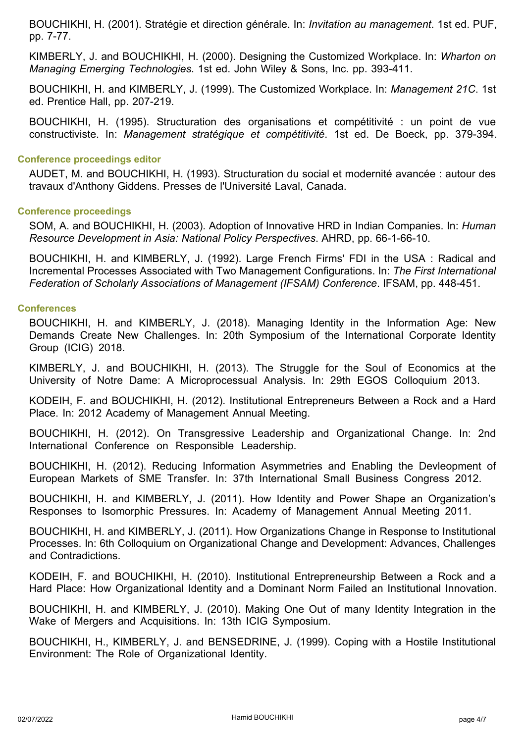BOUCHIKHI, H. (2001). Stratégie et direction générale. In: *Invitation au management*. 1st ed. PUF, pp. 7-77.

KIMBERLY, J. and BOUCHIKHI, H. (2000). Designing the Customized Workplace. In: *Wharton on Managing Emerging Technologies*. 1st ed. John Wiley & Sons, Inc. pp. 393-411.

BOUCHIKHI, H. and KIMBERLY, J. (1999). The Customized Workplace. In: *Management 21C*. 1st ed. Prentice Hall, pp. 207-219.

BOUCHIKHI, H. (1995). Structuration des organisations et compétitivité : un point de vue constructiviste. In: *Management stratégique et compétitivité*. 1st ed. De Boeck, pp. 379-394.

#### **Conference proceedings editor**

AUDET, M. and BOUCHIKHI, H. (1993). Structuration du social et modernité avancée : autour des travaux d'Anthony Giddens. Presses de l'Université Laval, Canada.

#### **Conference proceedings**

SOM, A. and BOUCHIKHI, H. (2003). Adoption of Innovative HRD in Indian Companies. In: *Human Resource Development in Asia: National Policy Perspectives*. AHRD, pp. 66-1-66-10.

BOUCHIKHI, H. and KIMBERLY, J. (1992). Large French Firms' FDI in the USA : Radical and Incremental Processes Associated with Two Management Configurations. In: *The First International Federation of Scholarly Associations of Management (IFSAM) Conference*. IFSAM, pp. 448-451.

# **Conferences**

BOUCHIKHI, H. and KIMBERLY, J. (2018). Managing Identity in the Information Age: New Demands Create New Challenges. In: 20th Symposium of the International Corporate Identity Group (ICIG) 2018.

KIMBERLY, J. and BOUCHIKHI, H. (2013). The Struggle for the Soul of Economics at the University of Notre Dame: A Microprocessual Analysis. In: 29th EGOS Colloquium 2013.

KODEIH, F. and BOUCHIKHI, H. (2012). Institutional Entrepreneurs Between a Rock and a Hard Place. In: 2012 Academy of Management Annual Meeting.

BOUCHIKHI, H. (2012). On Transgressive Leadership and Organizational Change. In: 2nd International Conference on Responsible Leadership.

BOUCHIKHI, H. (2012). Reducing Information Asymmetries and Enabling the Devleopment of European Markets of SME Transfer. In: 37th International Small Business Congress 2012.

BOUCHIKHI, H. and KIMBERLY, J. (2011). How Identity and Power Shape an Organization's Responses to Isomorphic Pressures. In: Academy of Management Annual Meeting 2011.

BOUCHIKHI, H. and KIMBERLY, J. (2011). How Organizations Change in Response to Institutional Processes. In: 6th Colloquium on Organizational Change and Development: Advances, Challenges and Contradictions.

KODEIH, F. and BOUCHIKHI, H. (2010). Institutional Entrepreneurship Between a Rock and a Hard Place: How Organizational Identity and a Dominant Norm Failed an Institutional Innovation.

BOUCHIKHI, H. and KIMBERLY, J. (2010). Making One Out of many Identity Integration in the Wake of Mergers and Acquisitions. In: 13th ICIG Symposium.

BOUCHIKHI, H., KIMBERLY, J. and BENSEDRINE, J. (1999). Coping with a Hostile Institutional Environment: The Role of Organizational Identity.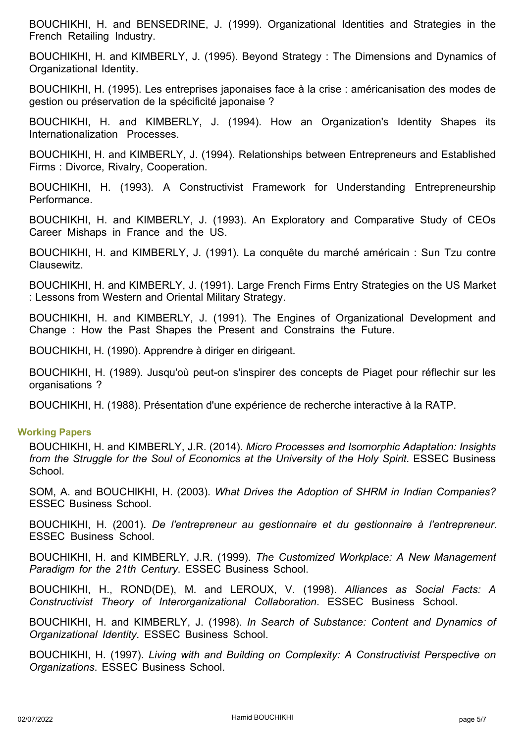BOUCHIKHI, H. and BENSEDRINE, J. (1999). Organizational Identities and Strategies in the French Retailing Industry.

BOUCHIKHI, H. and KIMBERLY, J. (1995). Beyond Strategy : The Dimensions and Dynamics of Organizational Identity.

BOUCHIKHI, H. (1995). Les entreprises japonaises face à la crise : américanisation des modes de gestion ou préservation de la spécificité japonaise ?

BOUCHIKHI, H. and KIMBERLY, J. (1994). How an Organization's Identity Shapes its Internationalization Processes.

BOUCHIKHI, H. and KIMBERLY, J. (1994). Relationships between Entrepreneurs and Established Firms : Divorce, Rivalry, Cooperation.

BOUCHIKHI, H. (1993). A Constructivist Framework for Understanding Entrepreneurship Performance.

BOUCHIKHI, H. and KIMBERLY, J. (1993). An Exploratory and Comparative Study of CEOs Career Mishaps in France and the US.

BOUCHIKHI, H. and KIMBERLY, J. (1991). La conquête du marché américain : Sun Tzu contre Clausewitz.

BOUCHIKHI, H. and KIMBERLY, J. (1991). Large French Firms Entry Strategies on the US Market : Lessons from Western and Oriental Military Strategy.

BOUCHIKHI, H. and KIMBERLY, J. (1991). The Engines of Organizational Development and Change : How the Past Shapes the Present and Constrains the Future.

BOUCHIKHI, H. (1990). Apprendre à diriger en dirigeant.

BOUCHIKHI, H. (1989). Jusqu'où peut-on s'inspirer des concepts de Piaget pour réflechir sur les organisations ?

BOUCHIKHI, H. (1988). Présentation d'une expérience de recherche interactive à la RATP.

# **Working Papers**

BOUCHIKHI, H. and KIMBERLY, J.R. (2014). *Micro Processes and Isomorphic Adaptation: Insights from the Struggle for the Soul of Economics at the University of the Holy Spirit*. ESSEC Business School.

SOM, A. and BOUCHIKHI, H. (2003). *What Drives the Adoption of SHRM in Indian Companies?* ESSEC Business School.

BOUCHIKHI, H. (2001). *De l'entrepreneur au gestionnaire et du gestionnaire à l'entrepreneur*. ESSEC Business School.

BOUCHIKHI, H. and KIMBERLY, J.R. (1999). *The Customized Workplace: A New Management Paradigm for the 21th Century*. ESSEC Business School.

BOUCHIKHI, H., ROND(DE), M. and LEROUX, V. (1998). *Alliances as Social Facts: A Constructivist Theory of Interorganizational Collaboration*. ESSEC Business School.

BOUCHIKHI, H. and KIMBERLY, J. (1998). *In Search of Substance: Content and Dynamics of Organizational Identity*. ESSEC Business School.

BOUCHIKHI, H. (1997). *Living with and Building on Complexity: A Constructivist Perspective on Organizations*. ESSEC Business School.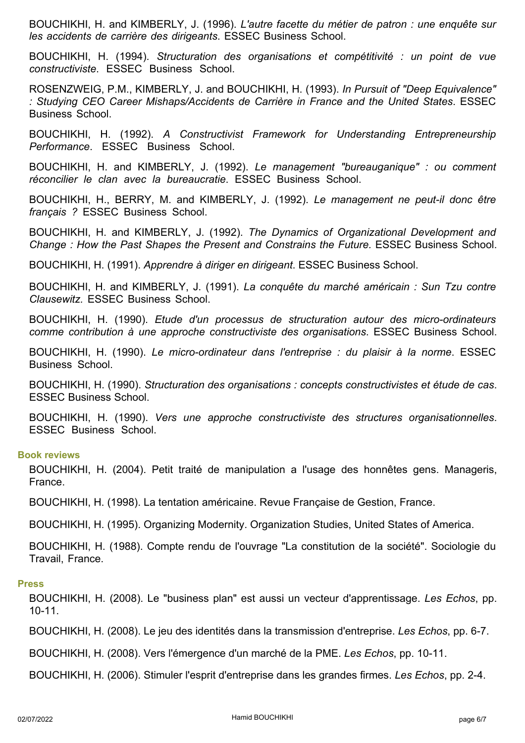BOUCHIKHI, H. and KIMBERLY, J. (1996). *L'autre facette du métier de patron : une enquête sur les accidents de carrière des dirigeants*. ESSEC Business School.

BOUCHIKHI, H. (1994). *Structuration des organisations et compétitivité : un point de vue constructiviste*. ESSEC Business School.

ROSENZWEIG, P.M., KIMBERLY, J. and BOUCHIKHI, H. (1993). *In Pursuit of "Deep Equivalence" : Studying CEO Career Mishaps/Accidents de Carrière in France and the United States*. ESSEC Business School.

BOUCHIKHI, H. (1992). *A Constructivist Framework for Understanding Entrepreneurship Performance*. ESSEC Business School.

BOUCHIKHI, H. and KIMBERLY, J. (1992). *Le management "bureauganique" : ou comment réconcilier le clan avec la bureaucratie*. ESSEC Business School.

BOUCHIKHI, H., BERRY, M. and KIMBERLY, J. (1992). *Le management ne peut-il donc être français ?* ESSEC Business School.

BOUCHIKHI, H. and KIMBERLY, J. (1992). *The Dynamics of Organizational Development and Change : How the Past Shapes the Present and Constrains the Future.* ESSEC Business School.

BOUCHIKHI, H. (1991). *Apprendre à diriger en dirigeant*. ESSEC Business School.

BOUCHIKHI, H. and KIMBERLY, J. (1991). *La conquête du marché américain : Sun Tzu contre Clausewitz.* ESSEC Business School.

BOUCHIKHI, H. (1990). *Etude d'un processus de structuration autour des micro-ordinateurs comme contribution à une approche constructiviste des organisations*. ESSEC Business School.

BOUCHIKHI, H. (1990). *Le micro-ordinateur dans l'entreprise : du plaisir à la norme*. ESSEC Business School.

BOUCHIKHI, H. (1990). *Structuration des organisations : concepts constructivistes et étude de cas*. ESSEC Business School.

BOUCHIKHI, H. (1990). *Vers une approche constructiviste des structures organisationnelles*. ESSEC Business School.

#### **Book reviews**

BOUCHIKHI, H. (2004). Petit traité de manipulation a l'usage des honnêtes gens. Manageris, France.

BOUCHIKHI, H. (1998). La tentation américaine. Revue Française de Gestion, France.

BOUCHIKHI, H. (1995). Organizing Modernity. Organization Studies, United States of America.

BOUCHIKHI, H. (1988). Compte rendu de l'ouvrage "La constitution de la société". Sociologie du Travail, France.

#### **Press**

BOUCHIKHI, H. (2008). Le "business plan" est aussi un vecteur d'apprentissage. *Les Echos*, pp. 10-11.

BOUCHIKHI, H. (2008). Le jeu des identités dans la transmission d'entreprise. *Les Echos*, pp. 6-7.

BOUCHIKHI, H. (2008). Vers l'émergence d'un marché de la PME. *Les Echos*, pp. 10-11.

BOUCHIKHI, H. (2006). Stimuler l'esprit d'entreprise dans les grandes firmes. *Les Echos*, pp. 2-4.